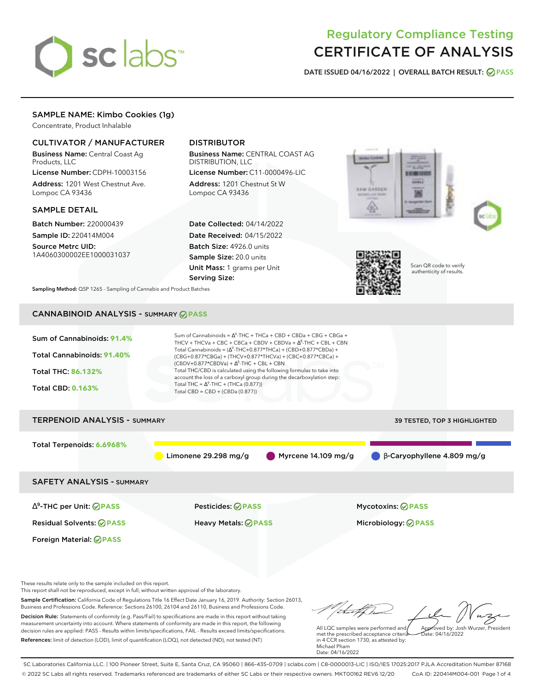

# Regulatory Compliance Testing CERTIFICATE OF ANALYSIS

**DATE ISSUED 04/16/2022 | OVERALL BATCH RESULT: PASS**

## SAMPLE NAME: Kimbo Cookies (1g)

Concentrate, Product Inhalable

#### CULTIVATOR / MANUFACTURER

Business Name: Central Coast Ag Products, LLC

License Number: CDPH-10003156 Address: 1201 West Chestnut Ave. Lompoc CA 93436

#### SAMPLE DETAIL

Batch Number: 220000439 Sample ID: 220414M004 Source Metrc UID: 1A4060300002EE1000031037

# DISTRIBUTOR

Business Name: CENTRAL COAST AG DISTRIBUTION, LLC

License Number: C11-0000496-LIC Address: 1201 Chestnut St W Lompoc CA 93436

Date Collected: 04/14/2022 Date Received: 04/15/2022 Batch Size: 4926.0 units Sample Size: 20.0 units Unit Mass: 1 grams per Unit Serving Size:







Scan QR code to verify authenticity of results.

**Sampling Method:** QSP 1265 - Sampling of Cannabis and Product Batches

## CANNABINOID ANALYSIS - SUMMARY **PASS**



This report shall not be reproduced, except in full, without written approval of the laboratory.

Sample Certification: California Code of Regulations Title 16 Effect Date January 16, 2019. Authority: Section 26013, Business and Professions Code. Reference: Sections 26100, 26104 and 26110, Business and Professions Code. Decision Rule: Statements of conformity (e.g. Pass/Fail) to specifications are made in this report without taking measurement uncertainty into account. Where statements of conformity are made in this report, the following decision rules are applied: PASS - Results within limits/specifications, FAIL - Results exceed limits/specifications.

References: limit of detection (LOD), limit of quantification (LOQ), not detected (ND), not tested (NT)

tal fCh All LQC samples were performed and Approved by: Josh Wurzer, President

 $hat: 04/16/2022$ 

met the prescribed acceptance criteria in 4 CCR section 1730, as attested by: Michael Pham Date: 04/16/2022

SC Laboratories California LLC. | 100 Pioneer Street, Suite E, Santa Cruz, CA 95060 | 866-435-0709 | sclabs.com | C8-0000013-LIC | ISO/IES 17025:2017 PJLA Accreditation Number 87168 © 2022 SC Labs all rights reserved. Trademarks referenced are trademarks of either SC Labs or their respective owners. MKT00162 REV6 12/20 CoA ID: 220414M004-001 Page 1 of 4